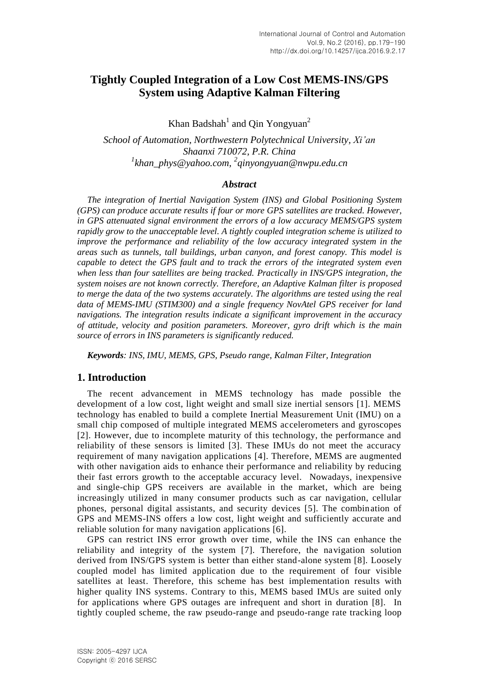# **Tightly Coupled Integration of a Low Cost MEMS-INS/GPS System using Adaptive Kalman Filtering**

Khan Badshah $<sup>1</sup>$  and Qin Yongyuan<sup>2</sup></sup>

*School of Automation, Northwestern Polytechnical University, Xi'an Shaanxi 710072, P.R. China 1 khan\_phys@yahoo.com, 2 qinyongyuan@nwpu.edu.cn*

### *Abstract*

*The integration of Inertial Navigation System (INS) and Global Positioning System (GPS) can produce accurate results if four or more GPS satellites are tracked. However, in GPS attenuated signal environment the errors of a low accuracy MEMS/GPS system rapidly grow to the unacceptable level. A tightly coupled integration scheme is utilized to improve the performance and reliability of the low accuracy integrated system in the areas such as tunnels, tall buildings, urban canyon, and forest canopy. This model is capable to detect the GPS fault and to track the errors of the integrated system even when less than four satellites are being tracked. Practically in INS/GPS integration, the system noises are not known correctly. Therefore, an Adaptive Kalman filter is proposed to merge the data of the two systems accurately. The algorithms are tested using the real data of MEMS-IMU (STIM300) and a single frequency NovAtel GPS receiver for land navigations. The integration results indicate a significant improvement in the accuracy of attitude, velocity and position parameters. Moreover, gyro drift which is the main source of errors in INS parameters is significantly reduced.* 

*Keywords: INS, IMU, MEMS, GPS, Pseudo range, Kalman Filter, Integration*

#### **1. Introduction**

The recent advancement in MEMS technology has made possible the development of a low cost, light weight and small size inertial sensors [1]. MEMS technology has enabled to build a complete Inertial Measurement Unit (IMU) on a small chip composed of multiple integrated MEMS accelerometers and gyroscopes [2]. However, due to incomplete maturity of this technology, the performance and reliability of these sensors is limited [3]. These IMUs do not meet the accuracy requirement of many navigation applications [4]. Therefore, MEMS are augmented with other navigation aids to enhance their performance and reliability by reducing their fast errors growth to the acceptable accuracy level. Nowadays, inexpensive and single-chip GPS receivers are available in the market, which are being increasingly utilized in many consumer products such as car navigation, cellular phones, personal digital assistants, and security devices [5]. The combination of GPS and MEMS-INS offers a low cost, light weight and sufficiently accurate and reliable solution for many navigation applications [6].

GPS can restrict INS error growth over time, while the INS can enhance the reliability and integrity of the system [7]. Therefore, the navigation solution derived from INS/GPS system is better than either stand-alone system [8]. Loosely coupled model has limited application due to the requirement of four visible satellites at least. Therefore, this scheme has best implementation results with higher quality INS systems. Contrary to this, MEMS based IMUs are suited only for applications where GPS outages are infrequent and short in duration [8]. In tightly coupled scheme, the raw pseudo-range and pseudo-range rate tracking loop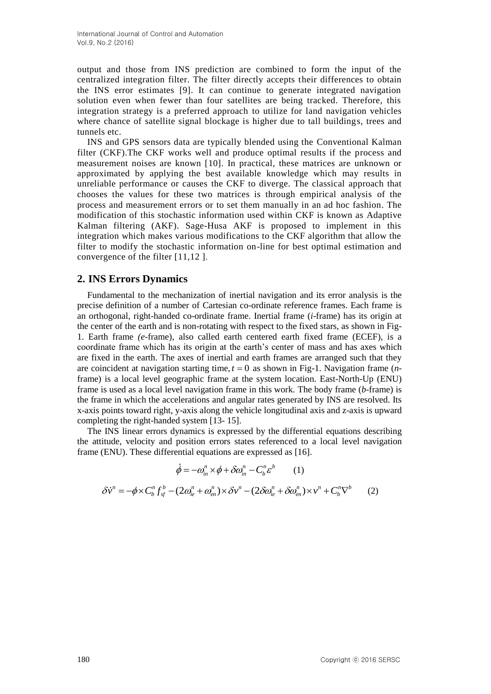output and those from INS prediction are combined to form the input of the centralized integration filter. The filter directly accepts their differences to obtain the INS error estimates [9]. It can continue to generate integrated navigation solution even when fewer than four satellites are being tracked. Therefore, this integration strategy is a preferred approach to utilize for land navigation vehicles where chance of satellite signal blockage is higher due to tall buildings, trees and tunnels etc.

INS and GPS sensors data are typically blended using the Conventional Kalman filter (CKF).The CKF works well and produce optimal results if the process and measurement noises are known [10]. In practical, these matrices are unknown or approximated by applying the best available knowledge which may results in unreliable performance or causes the CKF to diverge. The classical approach that chooses the values for these two matrices is through empirical analysis of the process and measurement errors or to set them manually in an ad hoc fashion. The modification of this stochastic information used within CKF is known as Adaptive Kalman filtering (AKF). Sage-Husa AKF is proposed to implement in this integration which makes various modifications to the CKF algorithm that allow the filter to modify the stochastic information on-line for best optimal estimation and convergence of the filter [11,12 ].

# **2. INS Errors Dynamics**

Fundamental to the mechanization of inertial navigation and its error analysis is the precise definition of a number of Cartesian co-ordinate reference frames. Each frame is an orthogonal, right-handed co-ordinate frame. Inertial frame (*i*-frame) has its origin at the center of the earth and is non-rotating with respect to the fixed stars, as shown in Fig-1. Earth frame *(e*-frame), also called earth centered earth fixed frame (ECEF), is a coordinate frame which has its origin at the earth's center of mass and has axes which are fixed in the earth. The axes of inertial and earth frames are arranged such that they are coincident at navigation starting time,  $t = 0$  as shown in Fig-1. Navigation frame (*n*frame) is a local level geographic frame at the system location. East-North-Up (ENU) frame is used as a local level navigation frame in this work. The body frame (*b*-frame) is the frame in which the accelerations and angular rates generated by INS are resolved. Its x-axis points toward right, y-axis along the vehicle longitudinal axis and z-axis is upward completing the right-handed system [13- 15].

The INS linear errors dynamics is expressed by the differential equations describing the attitude, velocity and position errors states referenced to a local level navigation frame (ENU). These differential equations are expressed as [16].

$$
\dot{\phi} = -\omega_{in}^{n} \times \phi + \delta \omega_{in}^{n} - C_{b}^{n} \varepsilon^{b} \qquad (1)
$$

$$
\dot{\phi} = -\omega_{in}^{n} \times \phi + \delta \omega_{in}^{n} - C_{b}^{n} \varepsilon^{b}
$$
 (1)  

$$
\delta \dot{v}^{n} = -\phi \times C_{b}^{n} f_{sf}^{b} - (2\omega_{ie}^{n} + \omega_{en}^{n}) \times \delta v^{n} - (2\delta \omega_{ie}^{n} + \delta \omega_{en}^{n}) \times v^{n} + C_{b}^{n} \nabla^{b}
$$
 (2)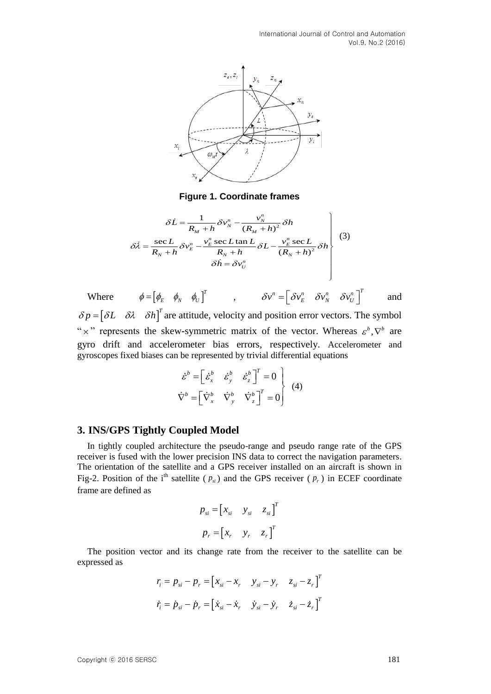

**Figure 1. Coordinate frames**

Figure 1. Coordinate names  
\n
$$
\delta \dot{L} = \frac{1}{R_M + h} \delta v_N^n - \frac{v_N^n}{(R_M + h)^2} \delta h
$$
\n
$$
\delta \dot{\lambda} = \frac{\sec L}{R_N + h} \delta v_E^n - \frac{v_E^n \sec L \tan L}{R_N + h} \delta L - \frac{v_E^n \sec L}{(R_N + h)^2} \delta h
$$
\n
$$
\delta \dot{h} = \delta v_U^n
$$
\n(3)

Where  $\phi = \begin{bmatrix} \phi_E & \phi_N & \phi_U \end{bmatrix}^T$ ,  $\delta v^n = \begin{bmatrix} \delta v_E^n & \delta v_N^n & \delta v_U^n \end{bmatrix}^T$ and  $\delta p = [\delta L \quad \delta \lambda \quad \delta h]^T$  are attitude, velocity and position error vectors. The symbol " x" represents the skew-symmetric matrix of the vector. Whereas  $\varepsilon^b$ ,  $\nabla^b$  are gyro drift and accelerometer bias errors, respectively. Accelerometer and gyroscopes fixed biases can be represented by trivial differential equations

$$
\dot{\varepsilon}^b = \begin{bmatrix} \dot{\varepsilon}_x^b & \dot{\varepsilon}_y^b & \dot{\varepsilon}_z^b \end{bmatrix}^T = 0
$$
\n
$$
\nabla^b = \begin{bmatrix} \nabla_x^b & \nabla_y^b & \nabla_z^b \end{bmatrix}^T = 0
$$
\n(4)

#### **3. INS/GPS Tightly Coupled Model**

In tightly coupled architecture the pseudo-range and pseudo range rate of the GPS receiver is fused with the lower precision INS data to correct the navigation parameters. The orientation of the satellite and a GPS receiver installed on an aircraft is shown in Fig-2. Position of the i<sup>th</sup> satellite ( $p_{si}$ ) and the GPS receiver ( $p_r$ ) in ECEF coordinate frame are defined as

$$
p_{si} = [x_{si} \quad y_{si} \quad z_{si}]^{T}
$$

$$
p_{r} = [x_{r} \quad y_{r} \quad z_{r}]^{T}
$$

The position vector and its [change rate](javascript:showjdsw() from the receiver to the satellite can be expressed as

$$
r_i = p_{si} - p_r = [x_{si} - x_r \quad y_{si} - y_r \quad z_{si} - z_r]^T
$$
  

$$
\dot{r}_i = \dot{p}_{si} - \dot{p}_r = [\dot{x}_{si} - \dot{x}_r \quad \dot{y}_{si} - \dot{y}_r \quad \dot{z}_{si} - \dot{z}_r]^T
$$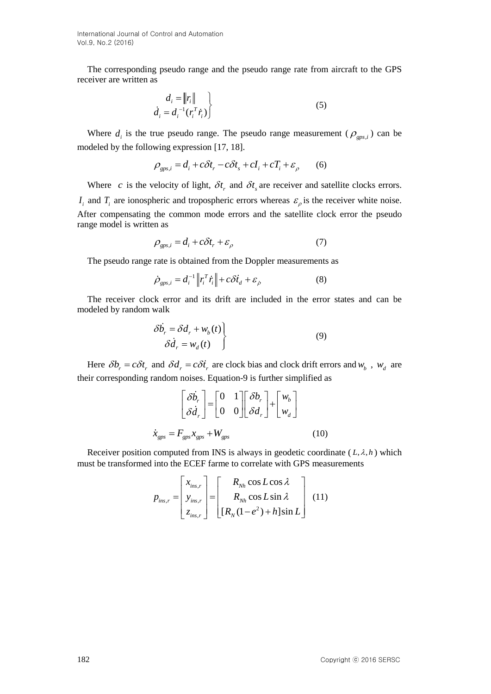The corresponding pseudo range and the pseudo range rate from aircraft to the GPS receiver are written as

$$
\begin{aligned}\nd_i &= \|r_i\| \\
\dot{d}_i &= d_i^{-1}(r_i^T \dot{r}_i)\n\end{aligned}
$$
\n(5)

Where  $d_i$  is the true pseudo range. The pseudo range measurement ( $\rho_{\text{gas},i}$ ) can be

modeled by the following expression [17, 18].  
\n
$$
\rho_{\text{gps},i} = d_i + c\delta t_r - c\delta t_s + cI_i + cT_i + \varepsilon_{\rho} \qquad (6)
$$

Where c is the velocity of light,  $\delta t$ <sub>r</sub> and  $\delta t$ <sub>s</sub> are receiver and satellite clocks errors.  $I_i$  and  $T_i$  are ionospheric and tropospheric errors whereas  $\varepsilon$ <sub> $\rho$ </sub> is the receiver white noise. After compensating the common mode errors and the satellite clock error the pseudo range model is written as

$$
\rho_{\text{gps},i} = d_i + c\delta t_r + \varepsilon_\rho \tag{7}
$$

The pseudo range rate is obtained from the Doppler measurements as

$$
\dot{\rho}_{\text{gps},i} = d_i^{-1} \left\| r_i^T \dot{r}_i \right\| + c \delta \dot{t}_d + \varepsilon_{\dot{\rho}} \tag{8}
$$

The receiver clock error and its drift are included in the error states and can be modeled by random walk

$$
\delta \dot{b}_r = \delta d_r + w_b(t) \qquad (9)
$$

$$
\delta \dot{d}_r = w_d(t)
$$

Here  $\delta b_r = c \delta t_r$  and  $\delta d_r = c \delta t_r$  are clock bias and clock drift errors and  $w_b$ ,  $w_d$  are their corresponding random noises. Equation-9 is further simplified as

$$
\begin{bmatrix} \delta \dot{b}_r \\ \delta \dot{d}_r \end{bmatrix} = \begin{bmatrix} 0 & 1 \\ 0 & 0 \end{bmatrix} \begin{bmatrix} \delta b_r \\ \delta d_r \end{bmatrix} + \begin{bmatrix} w_b \\ w_d \end{bmatrix}
$$

$$
\dot{x}_{\text{gps}} = F_{\text{gps}} x_{\text{gps}} + W_{\text{gps}}
$$
(10)

Receiver position computed from INS is always in geodetic coordinate  $(L, \lambda, h)$  which

must be transformed into the ECEF frame to correlate with GPS measurements  
\n
$$
p_{ins,r} = \begin{bmatrix} x_{ins,r} \\ y_{ins,r} \\ z_{ins,r} \end{bmatrix} = \begin{bmatrix} R_{Nh} \cos L \cos \lambda \\ R_{Nh} \cos L \sin \lambda \\ [R_N (1 - e^2) + h] \sin L \end{bmatrix}
$$
\n(11)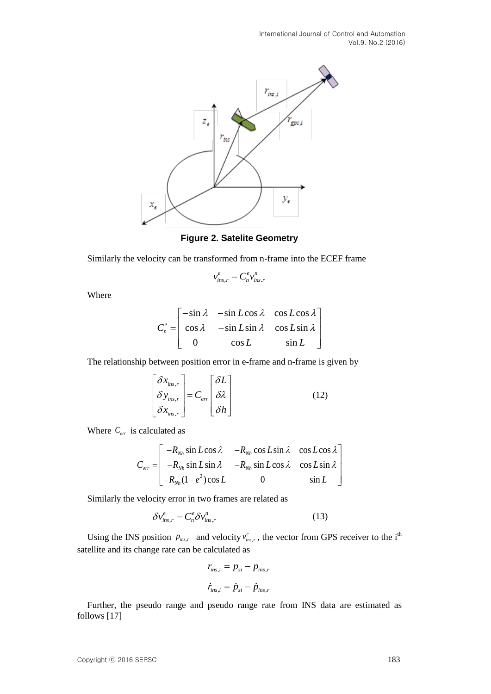

**Figure 2. Satelite Geometry**

Similarly the velocity can be transformed from n-frame into the ECEF frame

$$
v_{ins,r}^e = C_n^e v_{ins.r}^n
$$

Where

$$
C_n^e = \begin{bmatrix} -\sin \lambda & -\sin L \cos \lambda & \cos L \cos \lambda \\ \cos \lambda & -\sin L \sin \lambda & \cos L \sin \lambda \\ 0 & \cos L & \sin L \end{bmatrix}
$$

The relationship between position error in e-frame and n-frame is given by

$$
\begin{bmatrix} \delta x_{ins,r} \\ \delta y_{ins,r} \\ \delta x_{ins,r} \end{bmatrix} = C_{err} \begin{bmatrix} \delta L \\ \delta \lambda \\ \delta h \end{bmatrix}
$$
 (12)

Where *Cerr* is calculated as

calculated as  
\n
$$
C_{err} = \begin{bmatrix}\n-R_{Nh} \sin L \cos \lambda & -R_{Nh} \cos L \sin \lambda & \cos L \cos \lambda \\
-R_{Nh} \sin L \sin \lambda & -R_{Nh} \sin L \cos \lambda & \cos L \sin \lambda \\
-R_{Nh} (1 - e^2) \cos L & 0 & \sin L\n\end{bmatrix}
$$

Similarly the velocity error in two frames are related as

$$
\delta v_{ins,r}^e = C_n^e \delta v_{ins,r}^n \tag{13}
$$

Using the INS position  $p_{ins,r}$  and velocity  $v_{ins,r}^e$ , the vector from GPS receiver to the i<sup>th</sup> satellite and its change rate can be calculated as

$$
r_{ins,i} = p_{si} - p_{ins,r}
$$

$$
\dot{r}_{ins,i} = \dot{p}_{si} - \dot{p}_{ins,r}
$$

Further, the pseudo range and pseudo range rate from INS data are estimated as follows [17]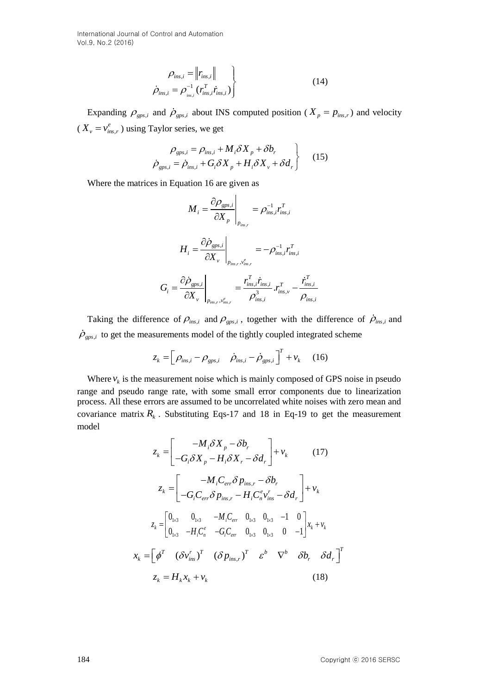$$
\rho_{ins,i} = \|r_{ins,i}\|
$$
\n
$$
\dot{\rho}_{ins,i} = \rho_{ins,i}^{-1} (r_{ins,i}^T \dot{r}_{ins,i})
$$
\n(14)

[Expandi](javascript:showjdsw()ng  $\rho_{\text{gas},i}$  and  $\dot{\rho}_{\text{gas},i}$  about INS computed position ( $X_p = p_{\text{ins},r}$ ) and velocity  $(X_v = v_{ins,r}^e)$  using Taylor series, we get

$$
\rho_{\text{gps},i} = \rho_{\text{ins},i} + M_i \delta X_p + \delta b_r
$$
\n
$$
\dot{\rho}_{\text{gps},i} = \dot{\rho}_{\text{ins},i} + G_i \delta X_p + H_i \delta X_v + \delta d_r
$$
\n(15)

Where the matrices in Equation 16 are given as

$$
M_{i} = \frac{\partial \rho_{gps,i}}{\partial X_{p}}\Big|_{p_{ins,r}} = \rho_{ins,i}^{-1} r_{ins,i}^{T}
$$

$$
H_{i} = \frac{\partial \rho_{gps,i}}{\partial X_{v}}\Big|_{p_{ins,r}, v_{ins,r}^{e}} = -\rho_{ins,i}^{-1} r_{ins,i}^{T}
$$

$$
G_{i} = \frac{\partial \rho_{gps,i}}{\partial X_{v}}\Big|_{p_{ins,r}, v_{ins,r}^{e}} = \frac{r_{ins,i}^{T} \dot{r}_{ins,i}}{\rho_{ins,i}^{3}} r_{ins,v}^{T} - \frac{\dot{r}_{ins,i}^{T}}{\rho_{ins,i}}.
$$

Taking the difference of  $\rho_{ins,i}$  and  $\rho_{gas,i}$ , together with the difference of  $\rho_{ins,i}$  and  $\dot{\rho}_{\text{gas},i}$  to get the measurements model of the tightly coupled integrated scheme

$$
z_k = \left[\rho_{ins,i} - \rho_{gps,i} \quad \dot{\rho}_{ins,i} - \dot{\rho}_{gps,i}\right]^T + v_k \quad (16)
$$

Where  $v_k$  is the measurement noise which is mainly composed of GPS noise in pseudo range and pseudo range rate, with some small error components due to linearization process. All these errors are assumed to be uncorrelated white noises with zero mean and covariance matrix  $R_k$ . Substituting Eqs-17 and 18 in Eq-19 to get the measurement model

$$
z_{k} = \begin{bmatrix} -M_{i}\delta X_{p} - \delta b_{r} \\ -G_{i}\delta X_{p} - H_{i}\delta X_{r} - \delta d_{r} \end{bmatrix} + v_{k} \qquad (17)
$$
  
\n
$$
z_{k} = \begin{bmatrix} -M_{i}C_{err}\delta p_{ins,r} - \delta b_{r} \\ -G_{i}C_{err}\delta p_{ins,r} - H_{i}C_{n}^{e}v_{ins}^{r} - \delta d_{r} \end{bmatrix} + v_{k}
$$
  
\n
$$
z_{k} = \begin{bmatrix} 0_{1\times3} & 0_{1\times3} & -M_{i}C_{err} & 0_{1\times3} & 0_{1\times3} & -1 & 0 \\ 0_{1\times3} & -H_{i}C_{n}^{e} & -G_{i}C_{err} & 0_{1\times3} & 0 & -1 \end{bmatrix}x_{k} + v_{k}
$$
  
\n
$$
x_{k} = \begin{bmatrix} \phi^{T} & (\delta v_{ins}')^{T} & (\delta p_{ins,r})^{T} & \varepsilon^{b} & \nabla^{b} & \delta b_{r} & \delta d_{r} \end{bmatrix}^{T}
$$
  
\n
$$
z_{k} = H_{k}x_{k} + v_{k} \qquad (18)
$$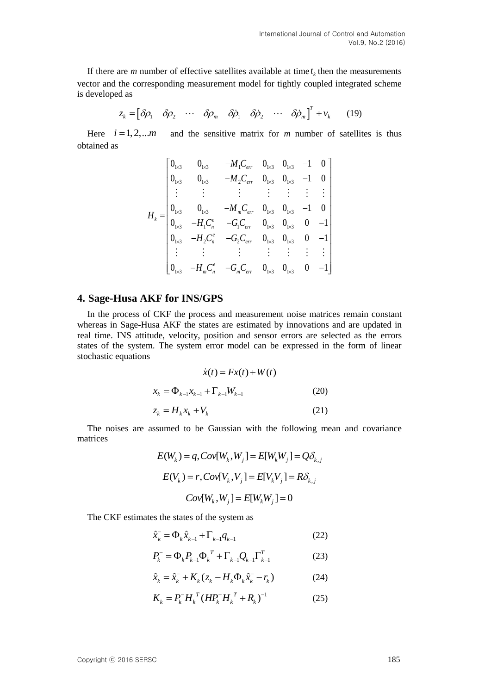If there are *m* number of effective satellites available at time  $t_k$  then the measurements vector and the corresponding measurement model for tightly coupled integrated scheme is developed as

ed as  
\n
$$
z_k = \begin{bmatrix} \delta \rho_1 & \delta \rho_2 & \cdots & \delta \rho_m & \delta \dot{\rho}_1 & \delta \dot{\rho}_2 & \cdots & \delta \dot{\rho}_m \end{bmatrix}^T + v_k
$$
\n(19)

Here  $i = 1, 2, ... m$ and the sensitive matrix for  $m$  number of satellites is thus obtained as

$$
H_{k} = \begin{bmatrix} 0_{1\times 3} & 0_{1\times 3} & -M_{1}C_{err} & 0_{1\times 3} & 0_{1\times 3} & -1 & 0 \\ 0_{1\times 3} & 0_{1\times 3} & -M_{2}C_{err} & 0_{1\times 3} & 0_{1\times 3} & -1 & 0 \\ \vdots & \vdots & \vdots & \vdots & \vdots & \vdots & \vdots \\ 0_{1\times 3} & 0_{1\times 3} & -M_{m}C_{err} & 0_{1\times 3} & 0_{1\times 3} & -1 & 0 \\ 0_{1\times 3} & -H_{1}C_{n}^{e} & -G_{1}C_{err} & 0_{1\times 3} & 0_{1\times 3} & 0 & -1 \\ 0_{1\times 3} & -H_{2}C_{n}^{e} & -G_{2}C_{err} & 0_{1\times 3} & 0_{1\times 3} & 0 & -1 \\ \vdots & \vdots & \vdots & \vdots & \vdots & \vdots & \vdots \\ 0_{1\times 3} & -H_{m}C_{n}^{e} & -G_{m}C_{err} & 0_{1\times 3} & 0_{1\times 3} & 0 & -1 \end{bmatrix}
$$

### **4. Sage-Husa AKF for INS/GPS**

In the process of CKF the process and measurement noise matrices remain constant whereas in Sage-Husa AKF the states are estimated by innovations and are updated in real time. INS attitude, velocity, position and sensor errors are selected as the errors states of the system. The system error model can be expressed in the form of linear stochastic equations

$$
\dot{x}(t) = Fx(t) + W(t)
$$
  

$$
x_k = \Phi_{k-1} x_{k-1} + \Gamma_{k-1} W_{k-1}
$$
 (20)  

$$
z_k = H_k x_k + V_k
$$
 (21)

The noises are assumed to be Gaussian with the following mean and covariance matrices

$$
E(W_k) = q, Cov[W_k, W_j] = E[W_k W_j] = Q\delta_{k,j}
$$

$$
E(V_k) = r, Cov[V_k, V_j] = E[V_k V_j] = R\delta_{k,j}
$$

$$
Cov[W_k, W_j] = E[W_k W_j] = 0
$$

The CKF estimates the states of the system as

$$
\hat{x}_{k}^{-} = \Phi_{k} \hat{x}_{k-1} + \Gamma_{k-1} q_{k-1}
$$
\n(22)

$$
P_k^- = \Phi_k P_{k-1} \Phi_k^T + \Gamma_{k-1} Q_{k-1} \Gamma_{k-1}^T
$$
 (23)

$$
\hat{x}_{k} = \hat{x}_{k}^{-} + K_{k}(z_{k} - H_{k}\Phi_{k}\hat{x}_{k}^{-} - r_{k})
$$
\n(24)

$$
K_k = P_k^- H_k^T (H P_k^- H_k^T + R_k)^{-1}
$$
 (25)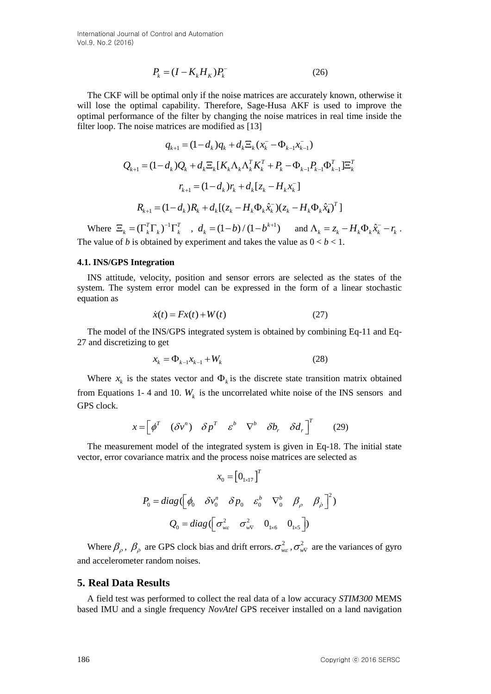$$
P_k = (I - K_k H_k) P_k \tag{26}
$$

The CKF will be optimal only if the noise matrices are accurately known, otherwise it will lose the optimal capability. Therefore, Sage-Husa AKF is used to improve the optimal performance of the filter by changing the noise matrices in real time inside the filter loop. The noise matrices are modified as [13]

$$
P_k = (I - K_k H_{\chi})P_k^T
$$
 (26)  
The CKF will be optimal only if the noise matrices are accurately known, otherwise  
will lose the optimal capability. Therefore, Sage-Husa AKF is used to improve the  
optimal performance of the filter by changing the noise matrices in real time inside the  
filter loop. The noise matrices are modified as [13]  

$$
q_{k+1} = (1-d_k)Q_k + d_k \Xi_k (K_k \Lambda_k K_k^T + P_k - \Phi_{k-1} R_{k-1} \Phi_{k-1}^T) = \sum_{k=1}^{n} P_{k+1} = (1-d_k)P_k + d_k \Xi_k (K_k \Lambda_k K_k^T + P_k - \Phi_{k-1} P_{k-1} \Phi_{k-1}^T) = \sum_{k=1}^{n} P_{k+1} = (1-d_k)P_k + d_k [\xi_k - H_k \Lambda_k \hat{x}_k^T] = \sum_{k=1}^{n} (1-d_k)P_k + d_k [\xi_k - H_k \Lambda_k \hat{x}_k^T] = \sum_{k=1}^{n} (1-d_k)P_k + d_k [\xi_k - H_k \Lambda_k \hat{x}_k^T] = \sum_{k=1}^{n} (1-d_k)P_k + d_k [\xi_k - H_k \Lambda_k \hat{x}_k^T] = \sum_{k=1}^{n} (1-d_k)P_k + d_k [\xi_k - H_k \Lambda_k \hat{x}_k^T] = \sum_{k=1}^{n} (1-d_k)P_k + d_k [\xi_k - H_k \Lambda_k \hat{x}_k^T] = \sum_{k=1}^{n} (1-d_k)P_k + d_k [\xi_k - H_k \Lambda_k \hat{x}_k^T] = \sum_{k=1}^{n} (1-d_k)P_k + d_k [\xi_k - H_k \Lambda_k \hat{x}_k^T] = \sum_{k=1}^{n} (1-d_k)P_k + d_k [\xi_k - H_k \Lambda_k \hat{x}_k^T] = \sum_{k=1}^{n} (1-d_k)P_k + d_k [\xi_k - H_k \Lambda_k \hat{x}_k^T] = \sum_{k=1}^{n} (1-d_k)P_k + d_k [\xi_k - H_k \Lambda_k \hat{x}_k^T] = \sum_{k=1}^{n} (1-d_k)P_k + d_k [\xi_k - H_k \Lambda_k \hat{x}_k^T] = \sum_{k=1}^{n} (1-d_k)P_k + d_k [\xi_k - H_k \Lambda_k \hat{x}_k^T] = \sum_{k=1}^{n} (1-d_k)P_k + d_k [\xi_k - H_k \Lambda_k \
$$

Where  $\Xi_k = (\Gamma_k^T \Gamma_k)^{-1} \Gamma_k^T$ ,  $d_k = (1-b)/(1-b^{k+1})$  and  $\Lambda_k = z_k - H_k \Phi_k \hat{x}_k - r_k$ . The value of *b* is obtained by experiment and takes the value as  $0 < b < 1$ .

#### **4.1. INS/GPS Integration**

INS attitude, velocity, position and sensor errors are selected as the states of the system. The system error model can be expressed in the form of a linear stochastic equation as

$$
\dot{x}(t) = Fx(t) + W(t) \tag{27}
$$

The model of the INS/GPS integrated system is obtained by combining Eq-11 and Eq-27 and discretizing to get

$$
x_k = \Phi_{k-1} x_{k-1} + W_k
$$
 (28)

Where  $x_k$  is the states vector and  $\Phi_k$  is the discrete state transition matrix obtained from Equations 1- 4 and 10.  $W_k$  is the uncorrelated white noise of the INS sensors and GPS clock.

$$
x = \begin{bmatrix} \phi^T & (\delta v^n) & \delta p^T & \varepsilon^b & \nabla^b & \delta b_r & \delta d_r \end{bmatrix}^T
$$
 (29)

The measurement model of the integrated system is given in Eq-18. The initial state vector, error covariance matrix and the process noise matrices are selected as

$$
x_0 = \begin{bmatrix} 0_{1 \times 17} \end{bmatrix}^T
$$
  
\n
$$
P_0 = diag(\begin{bmatrix} \phi_0 & \delta v_0^n & \delta p_0 & \varepsilon_0^b & \nabla_0^b & \beta_\rho & \beta_\rho \end{bmatrix}^2)
$$
  
\n
$$
Q_0 = diag(\begin{bmatrix} \sigma_{we}^2 & \sigma_{wv}^2 & 0_{1 \times 6} & 0_{1 \times 5} \end{bmatrix})
$$

Where  $\beta_\rho$ ,  $\beta_\rho$  are GPS clock bias and drift errors.  $\sigma_{w\epsilon}^2$ ,  $\sigma_{w\nu}^2$  are the variances of gyro and accelerometer random noises.

#### **5. Real Data Results**

A field test was performed to collect the real data of a low accuracy *STIM300* MEMS based IMU and a single frequency *NovAtel* GPS receiver installed on a land navigation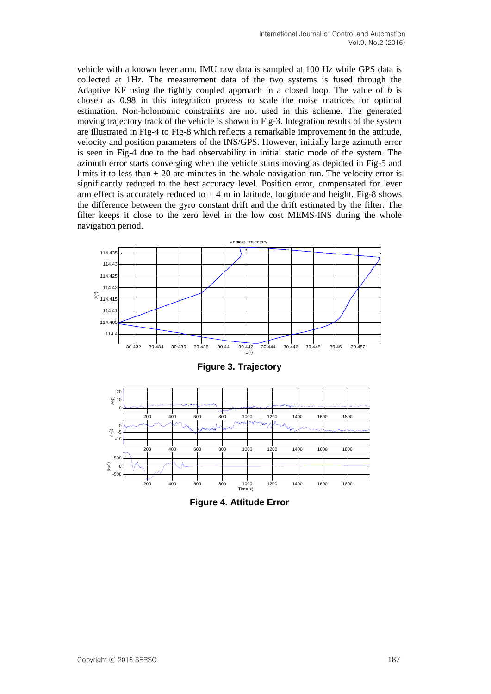vehicle with a known lever arm. IMU raw data is sampled at 100 Hz while GPS data is collected at 1Hz. The measurement data of the two systems is fused through the Adaptive KF using the tightly coupled approach in a closed loop. The value of *b* is chosen as 0.98 in this integration process to scale the noise matrices for optimal estimation. Non-holonomic constraints are not used in this scheme. The generated moving trajectory track of the vehicle is shown in Fig-3. Integration results of the system are illustrated in Fig-4 to Fig-8 which reflects a remarkable improvement in the attitude, velocity and position parameters of the INS/GPS. However, initially large azimuth error is seen in Fig-4 due to the bad observability in initial static mode of the system. The azimuth error starts converging when the vehicle starts moving as depicted in Fig-5 and limits it to less than  $\pm 20$  arc-minutes in the whole navigation run. The velocity error is significantly reduced to the best accuracy level. Position error, compensated for lever arm effect is accurately reduced to  $\pm 4$  m in latitude, longitude and height. Fig-8 shows the difference between the gyro constant drift and the drift estimated by the filter. The filter keeps it close to the zero level in the low cost MEMS-INS during the whole navigation period.



**Figure 3. Trajectory**



**Figure 4. Attitude Error**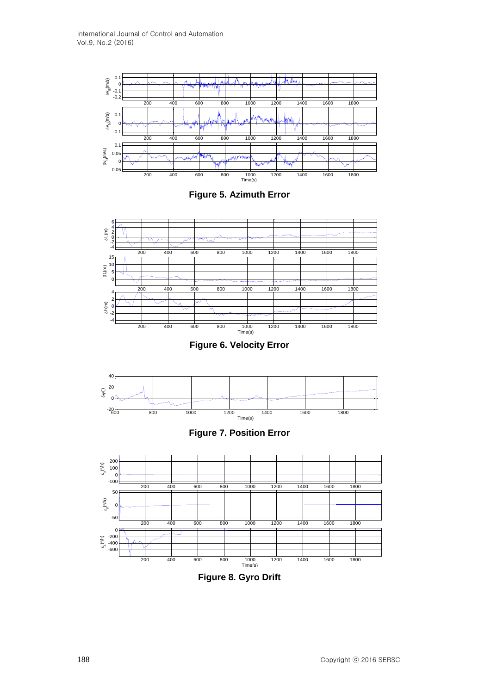





**Figure 6. Velocity Error**







**Figure 8. Gyro Drift**